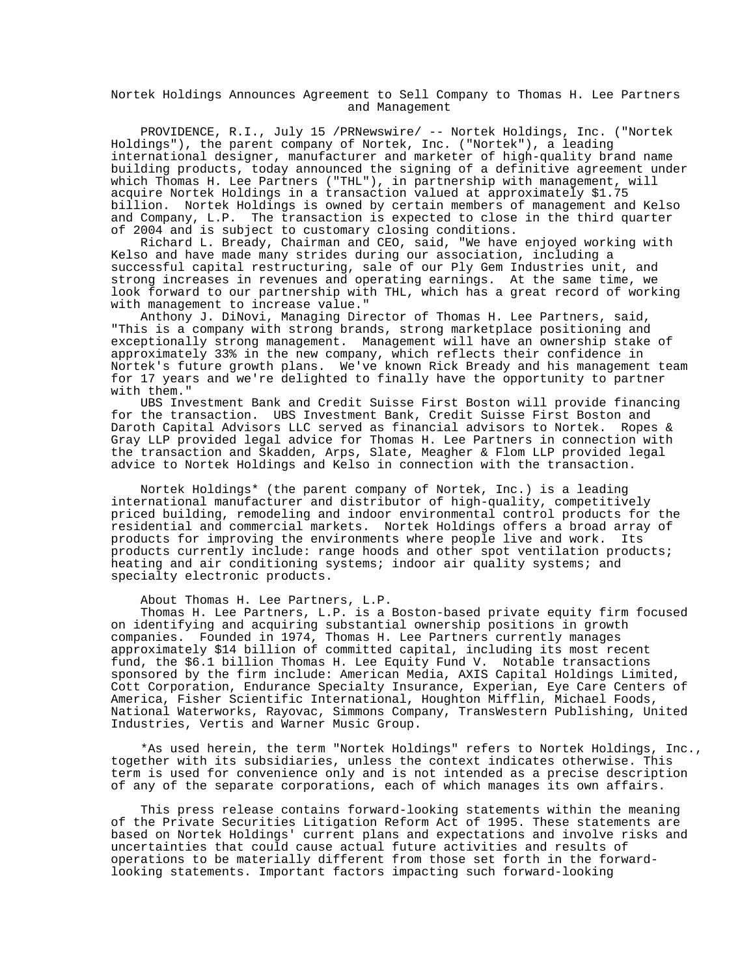Nortek Holdings Announces Agreement to Sell Company to Thomas H. Lee Partners and Management

 PROVIDENCE, R.I., July 15 /PRNewswire/ -- Nortek Holdings, Inc. ("Nortek Holdings"), the parent company of Nortek, Inc. ("Nortek"), a leading international designer, manufacturer and marketer of high-quality brand name building products, today announced the signing of a definitive agreement under which Thomas H. Lee Partners ("THL"), in partnership with management, will acquire Nortek Holdings in a transaction valued at approximately \$1.75 billion. Nortek Holdings is owned by certain members of management and Kelso and Company, L.P. The transaction is expected to close in the third quarter of 2004 and is subject to customary closing conditions.

 Richard L. Bready, Chairman and CEO, said, "We have enjoyed working with Kelso and have made many strides during our association, including a successful capital restructuring, sale of our Ply Gem Industries unit, and strong increases in revenues and operating earnings. At the same time, we look forward to our partnership with THL, which has a great record of working with management to increase value."

 Anthony J. DiNovi, Managing Director of Thomas H. Lee Partners, said, "This is a company with strong brands, strong marketplace positioning and exceptionally strong management. Management will have an ownership stake of approximately 33% in the new company, which reflects their confidence in Nortek's future growth plans. We've known Rick Bready and his management team for 17 years and we're delighted to finally have the opportunity to partner with them."

 UBS Investment Bank and Credit Suisse First Boston will provide financing for the transaction. UBS Investment Bank, Credit Suisse First Boston and Daroth Capital Advisors LLC served as financial advisors to Nortek. Ropes & Gray LLP provided legal advice for Thomas H. Lee Partners in connection with the transaction and Skadden, Arps, Slate, Meagher & Flom LLP provided legal advice to Nortek Holdings and Kelso in connection with the transaction.

 Nortek Holdings\* (the parent company of Nortek, Inc.) is a leading international manufacturer and distributor of high-quality, competitively priced building, remodeling and indoor environmental control products for the residential and commercial markets. Nortek Holdings offers a broad array of products for improving the environments where people live and work. Its products currently include: range hoods and other spot ventilation products; heating and air conditioning systems; indoor air quality systems; and specialty electronic products.

About Thomas H. Lee Partners, L.P.

 Thomas H. Lee Partners, L.P. is a Boston-based private equity firm focused on identifying and acquiring substantial ownership positions in growth companies. Founded in 1974, Thomas H. Lee Partners currently manages approximately \$14 billion of committed capital, including its most recent fund, the \$6.1 billion Thomas H. Lee Equity Fund V. Notable transactions sponsored by the firm include: American Media, AXIS Capital Holdings Limited, Cott Corporation, Endurance Specialty Insurance, Experian, Eye Care Centers of America, Fisher Scientific International, Houghton Mifflin, Michael Foods, National Waterworks, Rayovac, Simmons Company, TransWestern Publishing, United Industries, Vertis and Warner Music Group.

 \*As used herein, the term "Nortek Holdings" refers to Nortek Holdings, Inc., together with its subsidiaries, unless the context indicates otherwise. This term is used for convenience only and is not intended as a precise description of any of the separate corporations, each of which manages its own affairs.

 This press release contains forward-looking statements within the meaning of the Private Securities Litigation Reform Act of 1995. These statements are based on Nortek Holdings' current plans and expectations and involve risks and uncertainties that could cause actual future activities and results of operations to be materially different from those set forth in the forwardlooking statements. Important factors impacting such forward-looking